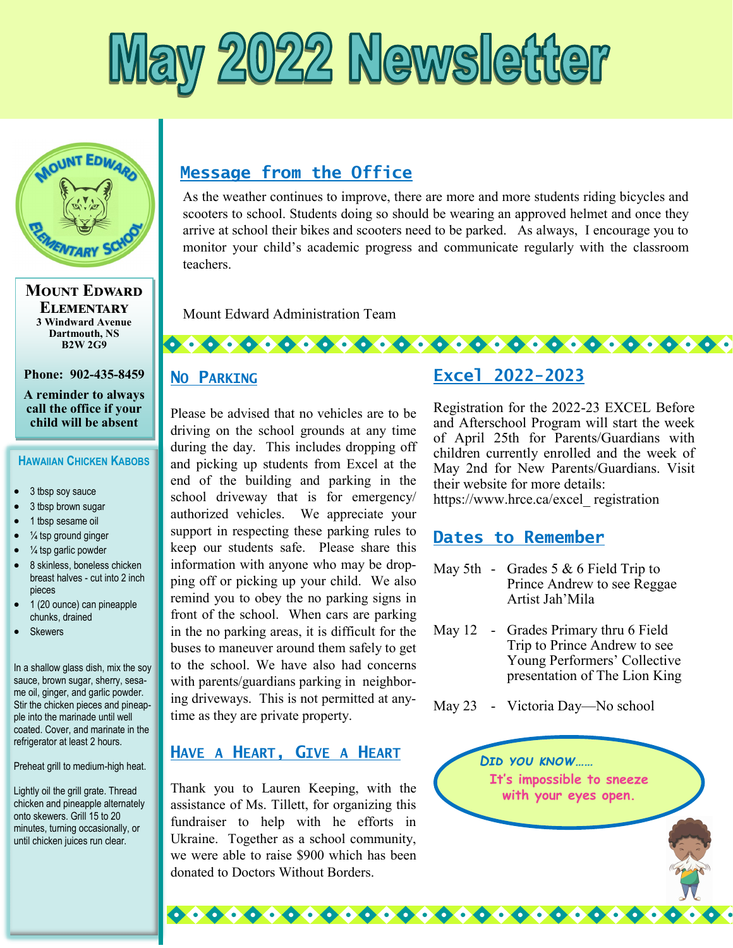



**Mount Edward Elementary 3 Windward Avenue Dartmouth, NS B2W 2G9**

**Phone: 902-435-8459**

**A reminder to always call the office if your child will be absent** 

#### **HAWAIIAN CHICKEN KABOBS**

- 3 tbsp soy sauce
- 3 tbsp brown sugar
- 1 tbsp sesame oil
- $\bullet$   $\frac{1}{4}$  tsp ground ginger
- $\bullet$   $\frac{1}{4}$  tsp garlic powder
- 8 skinless, boneless chicken breast halves - cut into 2 inch pieces
- 1 (20 ounce) can pineapple chunks, drained
- **Skewers**

In a shallow glass dish, mix the soy sauce, brown sugar, sherry, sesame oil, ginger, and garlic powder. Stir the chicken pieces and pineapple into the marinade until well coated. Cover, and marinate in the refrigerator at least 2 hours.

Preheat grill to medium-high heat.

Lightly oil the grill grate. Thread chicken and pineapple alternately onto skewers. Grill 15 to 20 minutes, turning occasionally, or until chicken juices run clear.

# **Message from the Office**

As the weather continues to improve, there are more and more students riding bicycles and scooters to school. Students doing so should be wearing an approved helmet and once they arrive at school their bikes and scooters need to be parked. As always, I encourage you to monitor your child's academic progress and communicate regularly with the classroom teachers.

Mount Edward Administration Team

#### **NO PARKING**

Please be advised that no vehicles are to be driving on the school grounds at any time during the day. This includes dropping off and picking up students from Excel at the end of the building and parking in the school driveway that is for emergency/ authorized vehicles. We appreciate your support in respecting these parking rules to keep our students safe. Please share this information with anyone who may be dropping off or picking up your child. We also remind you to obey the no parking signs in front of the school. When cars are parking in the no parking areas, it is difficult for the buses to maneuver around them safely to get to the school. We have also had concerns with parents/guardians parking in neighboring driveways. This is not permitted at anytime as they are private property.

#### **HAVE A HEART, GIVE A HEART**

Thank you to Lauren Keeping, with the assistance of Ms. Tillett, for organizing this fundraiser to help with he efforts in Ukraine. Together as a school community, we were able to raise \$900 which has been donated to Doctors Without Borders.

## **Excel 2022-2023**

Registration for the 2022-23 EXCEL Before and Afterschool Program will start the week of April 25th for Parents/Guardians with children currently enrolled and the week of May 2nd for New Parents/Guardians. Visit their website for more details: https://www.hrce.ca/excel\_ registration

### **Dates to Remember**

- May 5th Grades 5 & 6 Field Trip to Prince Andrew to see Reggae Artist Jah'Mila
- May 12 Grades Primary thru 6 Field Trip to Prince Andrew to see Young Performers' Collective presentation of The Lion King
- May 23 Victoria Day—No school

000000000000000000